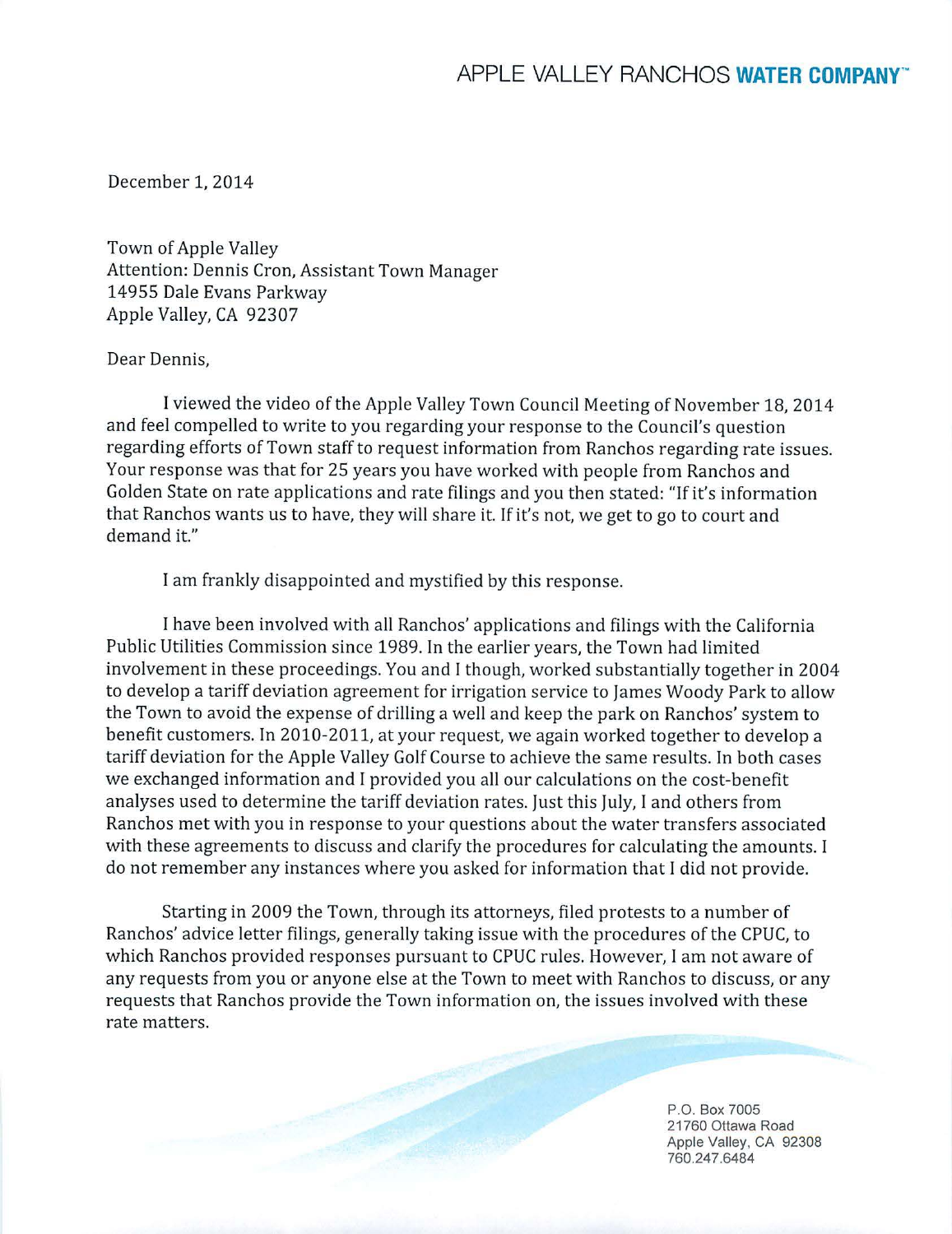December 1, 2014

Town of Apple Valley Attention: Dennis Cron, Assistant Town Manager 14955 Dale Evans Parkway Apple Valley, CA 92307

## Dear Dennis,

I viewed the video of the Apple Valley Town Council Meeting of November 18, 2014 and feel compelled to write to you regarding your response to the Council's question regarding efforts of Town staff to request information from Ranchos regarding rate issues. Your response was that for 25 years you have worked with people from Ranchos and Golden State on rate applications and rate filings and you then stated: "If it's information that Ranchos wants us to have, they will share it. If it's not, we get to go to court and demand it."

I am frankly disappointed and mystified by this response.

I have been involved with all Ranchos' applications and filings with the California Public Utilities Commission since 1989. In the earlier years, the Town had limited involvement in these proceedings. You and I though, worked substantially together in 2004 to develop a tariff deviation agreement for irrigation service to James Woody Park to allow the Town to avoid the expense of drilling a well and keep the park on Ranchos' system to benefit customers. In 2010-2011, at your request, we again worked together to develop a tariff deviation for the Apple Valley Golf Course to achieve the same results. In both cases we exchanged information and I provided you all our calculations on the cost-benefit analyses used to determine the tariff deviation rates. Just this July, I and others from Ranchos met with you in response to your questions about the water transfers associated with these agreements to discuss and clarify the procedures for calculating the amounts. I do not remember any instances where you asked for information that I did not provide.

Starting in 2009 the Town, through its attorneys, filed protests to a number of Ranchos' advice letter filings, generally taking issue with the procedures of the CPUC, to which Ranchos provided responses pursuant to CPUC rules. However, I am not aware of any requests from you or anyone else at the Town to meet with Ranchos to discuss, or any requests that Ranchos provide the Town information on, the issues involved with these rate matters.

> P.O. Box 7005 21760 Ottawa Road Apple Valley, CA 92308 760.247 .6484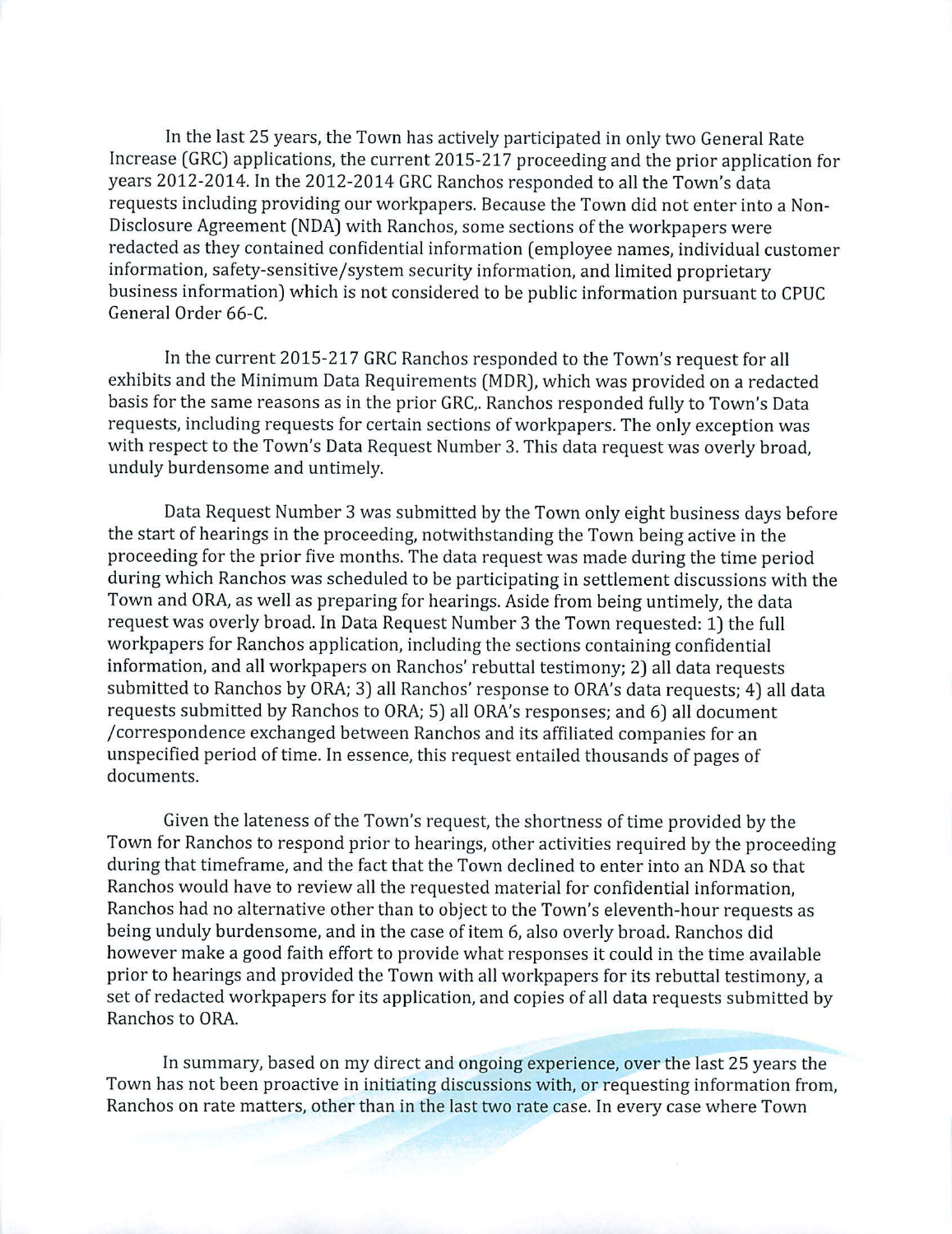In the last 25 years, the Town has actively participated in only two General Rate Increase (GRC) applications, the current 2015-217 proceeding and the prior application for years 2012-2014. In the 2012-2014 GRC Ranchos responded to all the Town's data requests including providing our workpapers. Because the Town did not enter into a Non-Disclosure Agreement (NDA) with Ranchos, some sections of the workpapers were redacted as they contained confidential information ( employee names, individual customer information, safety-sensitive/system security information, and limited proprietary business information) which is not considered to be public information pursuant to CPUC General Order 66-C.

In the current 2015-217 GRC Ranchos responded to the Town's request for all exhibits and the Minimum Data Requirements (MDR), which was provided on a redacted basis for the same reasons as in the prior GRC,. Ranchos responded fully to Town's Data requests, including requests for certain sections of workpapers. The only exception was with respect to the Town's Data Request Number 3. This data request was overly broad, unduly burdensome and untimely.

Data Request Number 3 was submitted by the Town only eight business days before the start of hearings in the proceeding, notwithstanding the Town being active in the proceeding for the prior five months. The data request was made during the time period during which Ranchos was scheduled to be participating in settlement discussions with the Town and ORA, as well as preparing for hearings. Aside from being untimely, the data request was overly broad. In Data Request Number 3 the Town requested: 1) the **full**  workpapers for Ranchos application, including the sections containing confidential information, and all workpapers on Ranchos' rebuttal testimony; 2) all data requests submitted to Ranchos by ORA; 3) all Ranchos' response to ORA's data requests; 4) all data requests submitted by Ranchos to ORA; 5) all ORA's responses; and 6) all document /correspondence exchanged between Ranchos and its affiliated companies for an unspecified period of time. In essence, this request enta iled thousands of pages of documents.

Given the lateness of the Town's request, the shortness of time provided by the Town for Ranchos to respond prior to hearings, other activities required by the proceeding during that timeframe, and the fact that the Town declined to enter into an NDA so that Ranchos would have to review all the requested material for confidential information, Ranchos had no alternative other than to object to the Town's eleventh-hour requests as being unduly burdensome, and in the case of item 6, also overly broad. Ranchos did however make a good faith effort to provide what responses it could in the time available prior to hearings and provided the Town with all workpapers for its rebuttal testimony, a set of redacted workpapers for its application, and copies of all data requests submitted by Ranchos to ORA.

In summary, based on my direct and ongoing experience, over the last 25 years the Town has not been proactive in initiating discussions with, or requesting information from, Ranchos on rate matters, other than in the last two rate case. In every case where Town